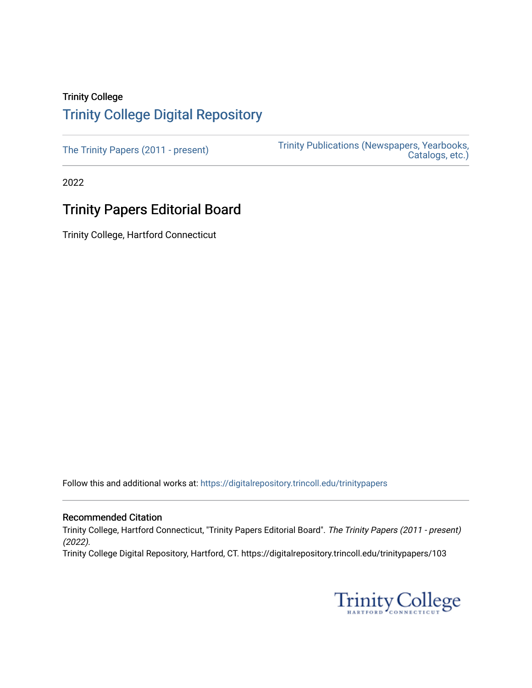# Trinity College [Trinity College Digital Repository](https://digitalrepository.trincoll.edu/)

[The Trinity Papers \(2011 - present\)](https://digitalrepository.trincoll.edu/trinitypapers) Trinity Publications (Newspapers, Yearbooks, [Catalogs, etc.\)](https://digitalrepository.trincoll.edu/publications) 

2022

# Trinity Papers Editorial Board

Trinity College, Hartford Connecticut

Follow this and additional works at: [https://digitalrepository.trincoll.edu/trinitypapers](https://digitalrepository.trincoll.edu/trinitypapers?utm_source=digitalrepository.trincoll.edu%2Ftrinitypapers%2F103&utm_medium=PDF&utm_campaign=PDFCoverPages)

#### Recommended Citation

Trinity College, Hartford Connecticut, "Trinity Papers Editorial Board". The Trinity Papers (2011 - present) (2022).

Trinity College Digital Repository, Hartford, CT. https://digitalrepository.trincoll.edu/trinitypapers/103

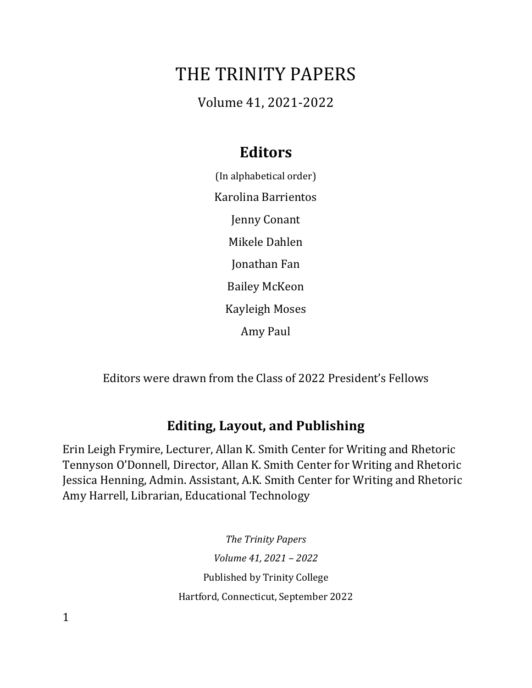# THE TRINITY PAPERS

Volume 41, 2021-2022

# **Editors**

(In alphabetical order) Karolina Barrientos Jenny Conant Mikele Dahlen Jonathan Fan Bailey McKeon Kayleigh Moses Amy Paul

Editors were drawn from the Class of 2022 President's Fellows

# **Editing, Layout, and Publishing**

Erin Leigh Frymire, Lecturer, Allan K. Smith Center for Writing and Rhetoric Tennyson O'Donnell, Director, Allan K. Smith Center for Writing and Rhetoric Jessica Henning, Admin. Assistant, A.K. Smith Center for Writing and Rhetoric Amy Harrell, Librarian, Educational Technology

> *The Trinity Papers Volume 41, 2021 – 2022* Published by Trinity College Hartford, Connecticut, September 2022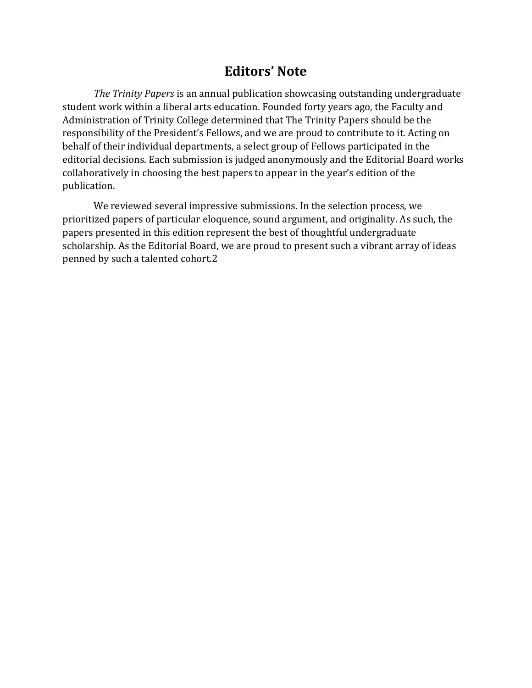#### **Editors' Note**

*The Trinity Papers* is an annual publication showcasing outstanding undergraduate student work within a liberal arts education. Founded forty years ago, the Faculty and Administration of Trinity College determined that The Trinity Papers should be the responsibility of the President's Fellows, and we are proud to contribute to it. Acting on behalf of their individual departments, a select group of Fellows participated in the editorial decisions. Each submission is judged anonymously and the Editorial Board works collaboratively in choosing the best papers to appear in the year's edition of the publication.

We reviewed several impressive submissions. In the selection process, we prioritized papers of particular eloquence, sound argument, and originality. As such, the papers presented in this edition represent the best of thoughtful undergraduate scholarship. As the Editorial Board, we are proud to present such a vibrant array of ideas penned by such a talented cohort.2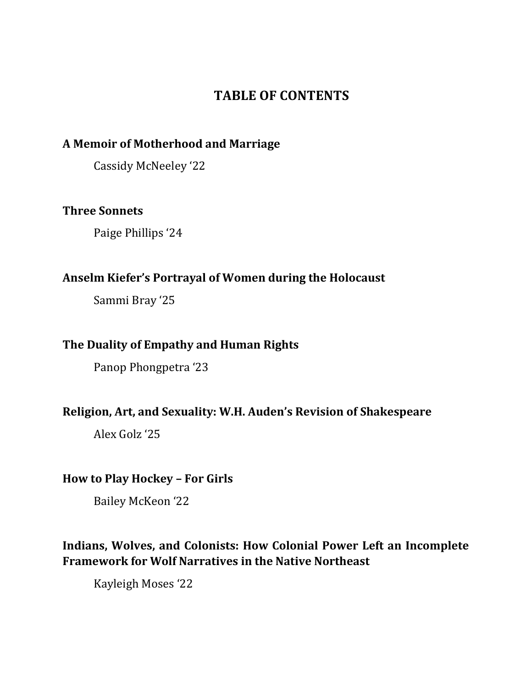# **TABLE OF CONTENTS**

#### **A Memoir of Motherhood and Marriage**

Cassidy McNeeley '22

#### **Three Sonnets**

Paige Phillips '24

#### **Anselm Kiefer's Portrayal of Women during the Holocaust**

Sammi Bray '25

#### **The Duality of Empathy and Human Rights**

Panop Phongpetra '23

#### **Religion, Art, and Sexuality: W.H. Auden's Revision of Shakespeare**

Alex Golz '25

#### **How to Play Hockey – For Girls**

Bailey McKeon '22

### **Indians, Wolves, and Colonists: How Colonial Power Left an Incomplete Framework for Wolf Narratives in the Native Northeast**

Kayleigh Moses '22